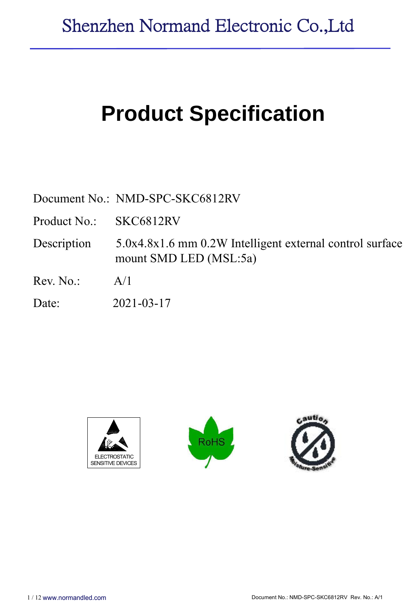# **Product Specification**

Document No.: NMD-SPC-SKC6812RV

Product No.: SKC6812RV

Description 5.0x4.8x1.6 mm 0.2W Intelligent external control surface mount SMD LED (MSL:5a)

 $Rev. No.: A/1$ 

Date: 2021-03-17





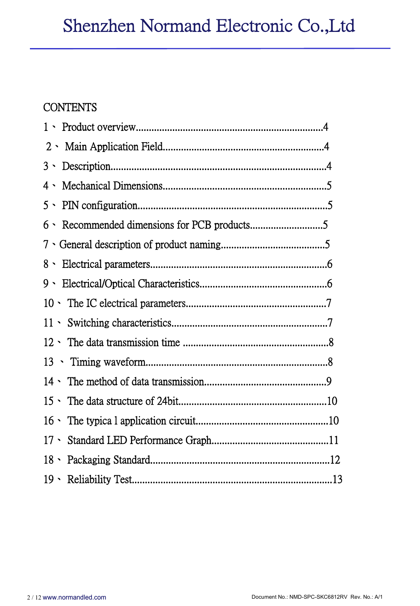## **CONTENTS**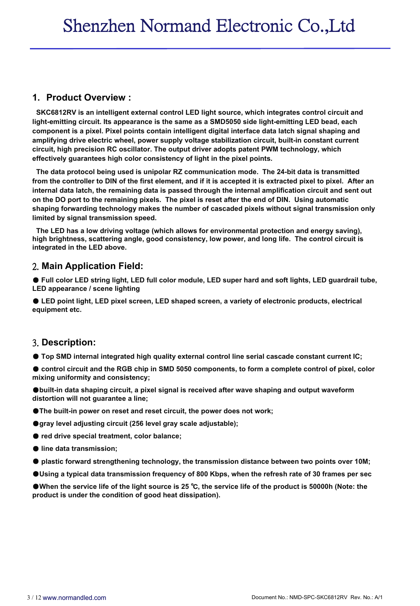#### **1. Product Overview :**

**SKC6812RV is an intelligent external control LED light source, which integrates control circuit and light-emitting circuit. Its appearance is the same as a SMD5050 side light-emitting LED bead, each component is a pixel. Pixel points contain intelligent digital interface data latch signal shaping and amplifying drive electric wheel, power supply voltage stabilization circuit, built-in constant current circuit, high precision RC oscillator. The output driver adopts patent PWM technology, which effectively guarantees high color consistency of light in the pixel points.**

**The data protocol being used is unipolar RZ communication mode. The 24-bit data is transmitted** from the controller to DIN of the first element, and if it is accepted it is extracted pixel to pixel. After an **internal data latch, the remaining data is passed through the internal amplification circuit and sent out** on the DO port to the remaining pixels. The pixel is reset after the end of DIN. Using automatic **shaping forwarding technology makes the number of cascaded pixels without signal transmission only limited by signal transmission speed.**

**The LED has a low driving voltage (which allows for environmental protection and energy saving), high brightness, scattering angle, good consistency,low power, and long life. The control circuit is integrated in the LED above.**

#### 2. **Main Application Field:**

● Full color LED string light, LED full color module, LED super hard and soft lights, LED guardrail tube, **LED appearance / scene lighting**

● **LED point light, LED pixel screen, LED shaped screen, a variety of electronic products, electrical equipment etc.**

#### 3. **Description:**

● **Top SMD internalintegrated high quality external control line serial cascade constant current IC;**

control circuit and the RGB chip in SMD 5050 components, to form a complete control of pixel, color **mixing uniformity and consistency;**

●**built-in data shaping circuit, a pixel signal is received after wave shaping and output waveform distortion will not guarantee a line;**

●**The built-in power on reset and reset circuit, the power does not work;**

●**gray level adjusting circuit (256 level gray scale adjustable);**

● **red drive specialtreatment, color balance;**

● **line data transmission;**

● **plastic forward strengthening technology, the transmission distance between two points over 10M;**

**Ource 10 Ource 10 Ource 20 Ource 20 Ource 20 OU ADD** Supposed Using a typical serves per sec

●When the service life of the light source is 25 °C, the service life of the product is 50000h (Note: the **product is under the condition of good heat dissipation).**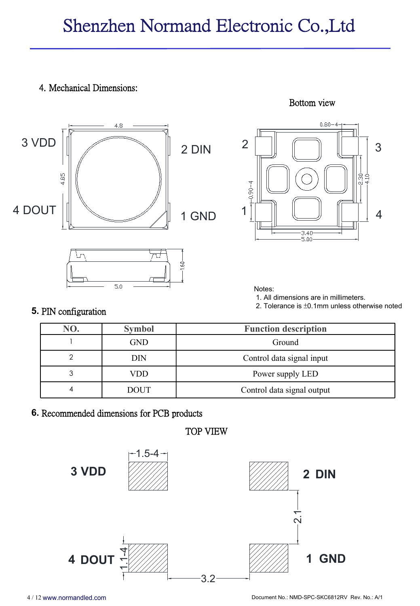# Shenzhen Normand Electronic Co.,Ltd

#### 4. Mechanical Dimensions:







Notes:

1. All dimensions are in millimeters.

2. Tolerance is±0.1mm unless otherwise noted

| NO. | <b>Symbol</b> | <b>Function description</b> |
|-----|---------------|-----------------------------|
|     | <b>GND</b>    | Ground                      |
|     | DIN           | Control data signal input   |
| 3   | VDD           | Power supply LED            |
| 4   | <b>DOUT</b>   | Control data signal output  |

#### **6.** Recommended dimensions for PCB products

TOP VIEW

**5.** PIN configuration

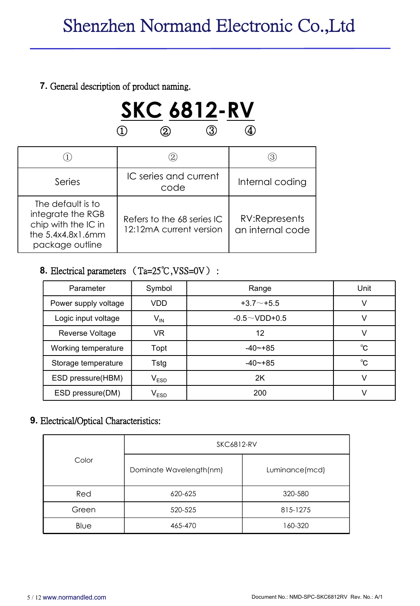#### **7.** General description of product naming.



|                                                                                                         | $\rm (2)$                                             | (3)                               |
|---------------------------------------------------------------------------------------------------------|-------------------------------------------------------|-----------------------------------|
| Series                                                                                                  | IC series and current<br>code                         | Internal coding                   |
| The default is to<br>integrate the RGB<br>chip with the IC in<br>the $5.4x4.8x1.6mm$<br>package outline | Refers to the 68 series IC<br>12:12mA current version | RV:Represents<br>an internal code |

#### **8.** Electrical parameters (Ta=25℃,VSS=0V) :

| Parameter            | Symbol     | Range               | Unit         |
|----------------------|------------|---------------------|--------------|
| Power supply voltage | <b>VDD</b> | $+3.7 - +5.5$       |              |
| Logic input voltage  | $V_{IN}$   | $-0.5 \sim$ VDD+0.5 |              |
| Reverse Voltage      | <b>VR</b>  | 12                  |              |
| Working temperature  | Topt       | $-40 - +85$         | $^{\circ}$ C |
| Storage temperature  | Tstg       | $-40 - +85$         | $^{\circ}$ C |
| ESD pressure(HBM)    | $V_{ESD}$  | 2K                  |              |
| ESD pressure(DM)     | $V_{ESD}$  | 200                 |              |

#### **9.** Electrical/Optical Characteristics:

|       | <b>SKC6812-RV</b>       |                |
|-------|-------------------------|----------------|
| Color | Dominate Wavelength(nm) | Luminance(mcd) |
| Red   | 620-625                 | 320-580        |
| Green | 520-525                 | 815-1275       |
| Blue  | 465-470                 | 160-320        |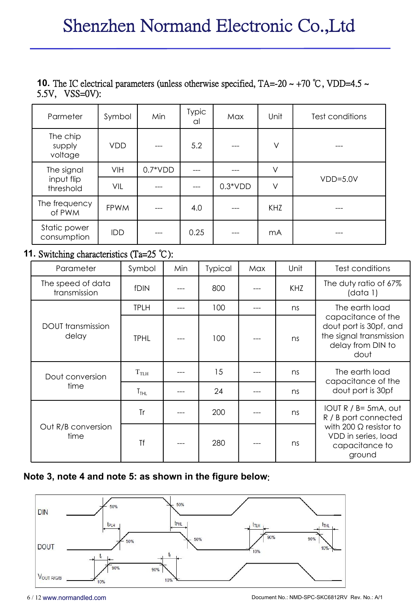# **10.** The IC electrical parameters (unless otherwise specified, TA=-20 ~ +70 °C, VDD=4.5 ~ 5.5V, VSS=0V):

| Parmeter                      | Symbol      | Min       | <b>Typic</b><br>al | Max       | Unit   | Test conditions |  |
|-------------------------------|-------------|-----------|--------------------|-----------|--------|-----------------|--|
| The chip<br>supply<br>voltage | <b>VDD</b>  | $---$     | 5.2                | ---       | V      |                 |  |
| The signal                    | VIH         | $0.7*VDD$ | $\qquad \qquad -$  | ---       | V      | $VDD=5.0V$      |  |
| input flip<br>threshold       | VIL         | ---       |                    | $0.3*VDD$ | $\vee$ |                 |  |
| The frequency<br>of PWM       | <b>FPWM</b> | $- - -$   | 4.0                | ---       | KHZ    |                 |  |
| Static power<br>consumption   | IDD         | $---$     | 0.25               | ---       | mA     |                 |  |

#### **11.** Switching characteristics (Ta=25 ℃):

| Parameter                         | Symbol           | Min   | Typical | Max | Unit | Test conditions                                                                                                        |  |
|-----------------------------------|------------------|-------|---------|-----|------|------------------------------------------------------------------------------------------------------------------------|--|
| The speed of data<br>transmission | fDIN             | ---   | 800     |     | KHZ  | The duty ratio of 67%<br>(data 1)                                                                                      |  |
|                                   | <b>TPLH</b>      | ---   | 100     |     | ns   | The earth load<br>capacitance of the<br>dout port is 30pf, and<br>the signal transmission<br>delay from DIN to<br>dout |  |
| <b>DOUT</b> transmission<br>delay | <b>TPHL</b>      | $---$ | 100     |     | ns   |                                                                                                                        |  |
| Dout conversion                   | T <sub>TLH</sub> | ---   | 15      |     | ns   | The earth load<br>capacitance of the<br>dout port is 30pf                                                              |  |
| time                              | T <sub>THL</sub> | ---   | 24      |     | ns   |                                                                                                                        |  |
|                                   | <b>Tr</b>        | ---   | 200     |     | ns   | IOUT $R / B = 5mA$ , out<br>R / B port connected                                                                       |  |
| Out R/B conversion<br>time        | <b>Tf</b>        | ---   | 280     | --- | ns   | with 200 $\Omega$ resistor to<br>VDD in series, load<br>capacitance to<br>ground                                       |  |

#### **Note 3, note 4 and note 5: as shown in the figure below**:

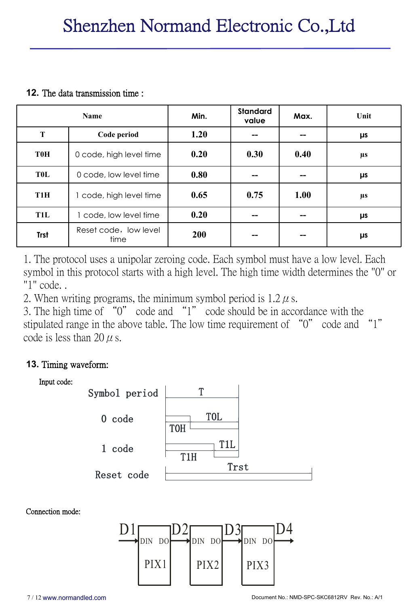#### **12.** The data transmission time :

|                  | <b>Name</b>                   | Min. | <b>Standard</b><br>value | Max. | Unit    |
|------------------|-------------------------------|------|--------------------------|------|---------|
| T                | Code period                   | 1.20 |                          |      | μs      |
| <b>T0H</b>       | 0 code, high level time       | 0.20 | 0.30                     | 0.40 | μs      |
| TOL              | 0 code, low level time        | 0.80 |                          |      | $\mu s$ |
| T <sub>1</sub> H | 1 code, high level time       | 0.65 | 0.75                     | 1.00 | μs      |
| <b>T1L</b>       | code, low level time          | 0.20 |                          |      | μs      |
| <b>Trst</b>      | Reset code, low level<br>time | 200  |                          |      | μs      |

1. The protocol uses a unipolar zeroing code. Each symbol must have a low level. Each symbol in this protocol starts with a high level. The high time width determines the "0" or "1" code. .

2. When writing programs, the minimum symbol period is  $1.2 \mu$  s.

3. The high time of "0" code and "1" code should be in accordance with the stipulated range in the above table. The low time requirement of "0" code and "1" code is less than 20  $\mu$  s.

### **13.** Timing waveform:



Connection mode:

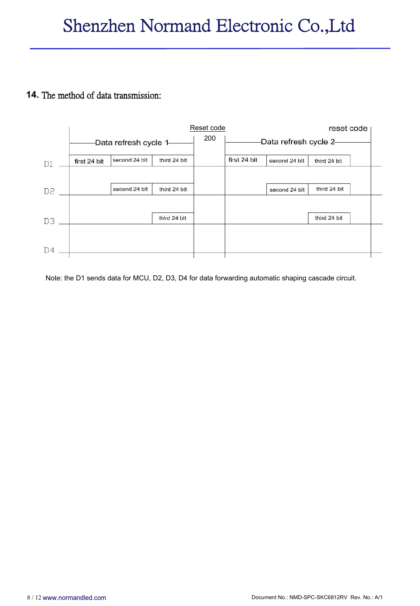#### **14.** The method of data transmission:



Note: the D1 sends data for MCU, D2, D3, D4 for data forwarding automatic shaping cascade circuit.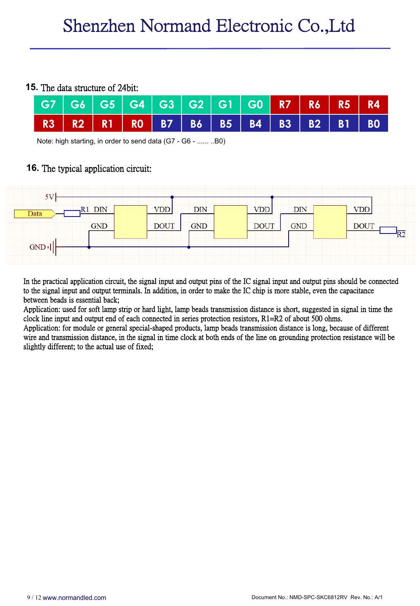#### **15.** The data structure of 24bit:



Note: high starting, in order to send data (G7 - G6 - ...... ..B0)

#### **16.** The typical application circuit:



In the practical application circuit, the signal input and output pins of the IC signal input and output pins should be connected to the signal input and output terminals. In addition, in order to make the IC chip is more stable, even the capacitance between beads is essential back;

Application: used for soft lamp strip or hard light, lamp beads transmission distance is short, suggested in signal in time the clock line input and output end of each connected in series protection resistors,  $R1=R2$  of ab

Application: for module or general special-shaped products, lamp beads transmission distance is long, because of different wire and transmission distance, in the signal in time clock at both ends of the line on grounding p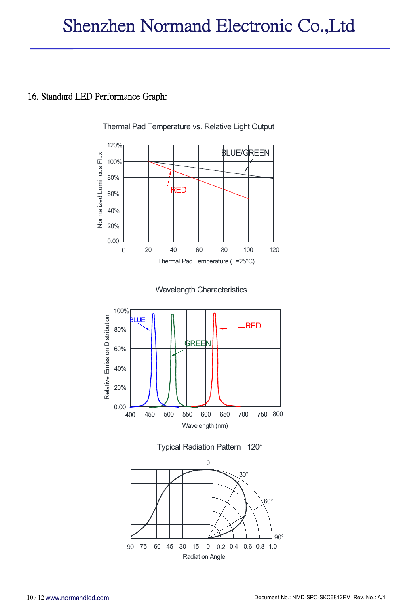#### 16. Standard LED Performance Graph:

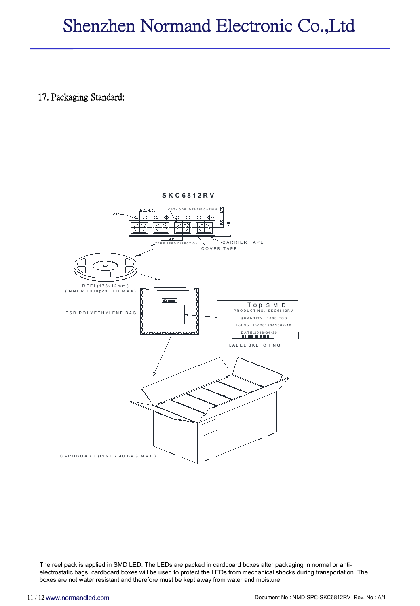# Shenzhen Normand Electronic Co.,Ltd

17. Packaging Standard:





The reel pack is applied in SMD LED. The LEDs are packed in cardboard boxes after packaging in normal or anti electrostatic bags. cardboard boxes will be used to protect the LEDs from mechanical shocks during transportation. The boxes are not water resistant and therefore must be kept away from water and moisture.